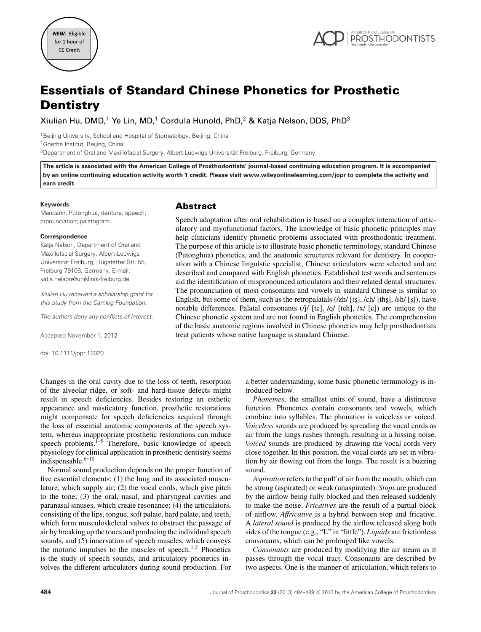



# **Essentials of Standard Chinese Phonetics for Prosthetic Dentistry**

Xiulian Hu, DMD,<sup>1</sup> Ye Lin, MD,<sup>1</sup> Cordula Hunold, PhD,<sup>2</sup> & Katja Nelson, DDS, PhD<sup>3</sup>

<sup>1</sup> Beijing University, School and Hospital of Stomatology, Beijing, China

2Goethe Institut, Beijing, China

<sup>3</sup>Department of Oral and Maxillofacial Surgery, Albert-Ludwigs Universität Freiburg, Freiburg, Germany

**The article is associated with the American College of Prosthodontists' journal-based continuing education program. It is accompanied by an online continuing education activity worth 1 credit. Please visit www.wileyonlinelearning.com/jopr to complete the activity and earn credit.**

#### **Keywords**

Mandarin; Putonghua; denture; speech; pronunciation; palatogram.

#### **Correspondence**

Katja Nelson, Department of Oral and Maxillofacial Surgery, Albert-Ludwigs Universität Freiburg, Hugstetter Str. 55, Freiburg 79106, Germany. E-mail: katja.nelson@uniklinik-freiburg.de

*Xiulian Hu received a scholarship grant for this study from the Camlog Foundation*.

*The authors deny any conflicts of interest.*

Accepted November 1, 2012

doi: 10.1111/jopr.12020

## **Abstract**

Speech adaptation after oral rehabilitation is based on a complex interaction of articulatory and myofunctional factors. The knowledge of basic phonetic principles may help clinicians identify phonetic problems associated with prosthodontic treatment. The purpose of this article is to illustrate basic phonetic terminology, standard Chinese (Putonghua) phonetics, and the anatomic structures relevant for dentistry. In cooperation with a Chinese linguistic specialist, Chinese articulators were selected and are described and compared with English phonetics. Established test words and sentences aid the identification of mispronounced articulators and their related dental structures. The pronunciation of most consonants and vowels in standard Chinese is similar to English, but some of them, such as the retropalatals (/zh/ [tʂ], /ch/ [thʂ], /sh/ [ʂ]), have notable differences. Palatal consonants  $(j/$  [tɕ],  $/q/$  [tɕh],  $/x/$  [ɕ]) are unique to the Chinese phonetic system and are not found in English phonetics. The comprehension of the basic anatomic regions involved in Chinese phonetics may help prosthodontists treat patients whose native language is standard Chinese.

Changes in the oral cavity due to the loss of teeth, resorption of the alveolar ridge, or soft- and hard-tissue defects might result in speech deficiencies. Besides restoring an esthetic appearance and masticatory function, prosthetic restorations might compensate for speech deficiencies acquired through the loss of essential anatomic components of the speech system, whereas inappropriate prosthetic restorations can induce speech problems.<sup>1-5</sup> Therefore, basic knowledge of speech physiology for clinical application in prosthetic dentistry seems indispensable. $6-10$ 

Normal sound production depends on the proper function of five essential elements: (1) the lung and its associated musculature, which supply air; (2) the vocal cords, which give pitch to the tone; (3) the oral, nasal, and pharyngeal cavities and paranasal sinuses, which create resonance; (4) the articulators, consisting of the lips, tongue, soft palate, hard palate, and teeth, which form musculoskeletal valves to obstruct the passage of air by breaking up the tones and producing the individual speech sounds, and (5) innervation of speech muscles, which conveys the motoric impulses to the muscles of speech.<sup>1,2</sup> Phonetics is the study of speech sounds, and articulatory phonetics involves the different articulators during sound production. For a better understanding, some basic phonetic terminology is introduced below.

*Phonemes*, the smallest units of sound, have a distinctive function. Phonemes contain consonants and vowels, which combine into syllables. The phonation is voiceless or voiced. *Voiceless* sounds are produced by spreading the vocal cords as air from the lungs rushes through, resulting in a hissing noise. *Voiced* sounds are produced by drawing the vocal cords very close together. In this position, the vocal cords are set in vibration by air flowing out from the lungs. The result is a buzzing sound.

*Aspiration* refers to the puff of air from the mouth, which can be strong (aspirated) or weak (unaspirated). *Stops* are produced by the airflow being fully blocked and then released suddenly to make the noise. *Fricatives* are the result of a partial block of airflow. *Affricative* is a hybrid between stop and fricative. A *lateral sound* is produced by the airflow released along both sides of the tongue (e.g., "L" in "little"). *Liquids* are frictionless consonants, which can be prolonged like vowels.

*Consonants* are produced by modifying the air steam as it passes through the vocal tract. Consonants are described by two aspects. One is the manner of articulation, which refers to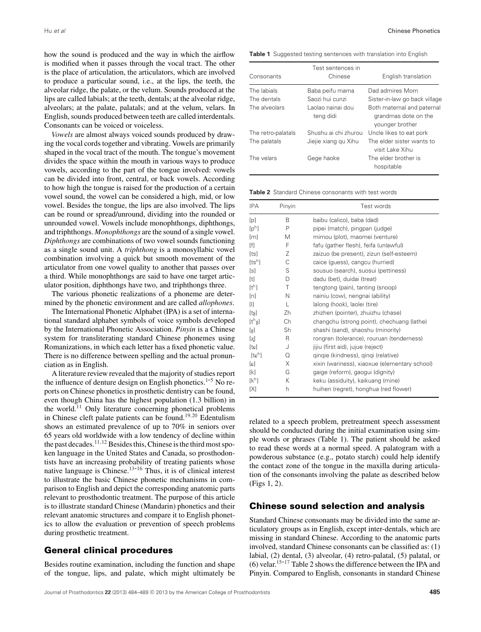how the sound is produced and the way in which the airflow is modified when it passes through the vocal tract. The other is the place of articulation, the articulators, which are involved to produce a particular sound, i.e., at the lips, the teeth, the alveolar ridge, the palate, or the velum. Sounds produced at the lips are called labials; at the teeth, dentals; at the alveolar ridge, alveolars; at the palate, palatals; and at the velum, velars. In English, sounds produced between teeth are called interdentals. Consonants can be voiced or voiceless.

*Vowels* are almost always voiced sounds produced by drawing the vocal cords together and vibrating. Vowels are primarily shaped in the vocal tract of the mouth. The tongue's movement divides the space within the mouth in various ways to produce vowels, according to the part of the tongue involved: vowels can be divided into front, central, or back vowels. According to how high the tongue is raised for the production of a certain vowel sound, the vowel can be considered a high, mid, or low vowel. Besides the tongue, the lips are also involved. The lips can be round or spread/unround, dividing into the rounded or unrounded vowel. Vowels include monophthongs, diphthongs, and triphthongs. *Monophthongs* are the sound of a single vowel. *Diphthongs* are combinations of two vowel sounds functioning as a single sound unit. A *triphthong* is a monosyllabic vowel combination involving a quick but smooth movement of the articulator from one vowel quality to another that passes over a third. While monophthongs are said to have one target articulator position, diphthongs have two, and triphthongs three.

The various phonetic realizations of a phoneme are determined by the phonetic environment and are called *allophones*.

The International Phonetic Alphabet (IPA) is a set of international standard alphabet symbols of voice symbols developed by the International Phonetic Association. *Pinyin* is a Chinese system for transliterating standard Chinese phonemes using Romanizations, in which each letter has a fixed phonetic value. There is no difference between spelling and the actual pronunciation as in English.

A literature review revealed that the majority of studies report the influence of denture design on English phonetics.<sup>1-5</sup> No reports on Chinese phonetics in prosthetic dentistry can be found, even though China has the highest population (1.3 billion) in the world.<sup>11</sup> Only literature concerning phonetical problems in Chinese cleft palate patients can be found.19,<sup>20</sup> Edentulism shows an estimated prevalence of up to 70% in seniors over 65 years old worldwide with a low tendency of decline within the past decades.<sup>11,12</sup> Besides this, Chinese is the third most spoken language in the United States and Canada, so prosthodontists have an increasing probability of treating patients whose native language is Chinese.13-16 Thus, it is of clinical interest to illustrate the basic Chinese phonetic mechanisms in comparison to English and depict the corresponding anatomic parts relevant to prosthodontic treatment. The purpose of this article is to illustrate standard Chinese (Mandarin) phonetics and their relevant anatomic structures and compare it to English phonetics to allow the evaluation or prevention of speech problems during prosthetic treatment.

#### **General clinical procedures**

Besides routine examination, including the function and shape of the tongue, lips, and palate, which might ultimately be

**Table 1** Suggested testing sentences with translation into English

| Consonants                 | Test sentences in<br>Chinese       | English translation                                                   |
|----------------------------|------------------------------------|-----------------------------------------------------------------------|
| The labials<br>The dentals | Baba peifu mama<br>Saozi hui cunzi | Dad admires Mom                                                       |
|                            |                                    | Sister-in-law go back village                                         |
| The alveolars              | Laolao nainai dou<br>teng didi     | Both maternal and paternal<br>grandmas dote on the<br>younger brother |
| The retro-palatals         | Shushu ai chi zhurou               | Uncle likes to eat pork                                               |
| The palatals               | Jiejie xiang qu Xihu               | The elder sister wants to<br>visit Lake Xihu                          |
| The velars                 | Gege haoke                         | The elder brother is<br>hospitable                                    |

**Table 2** Standard Chinese consonants with test words

| <b>IPA</b>        | Pinyin | Test words                                    |  |
|-------------------|--------|-----------------------------------------------|--|
| [p]               | B      | baibu (calico), baba (dad)                    |  |
| $[p^h]$           | P      | pipei (match), pingpan (judge)                |  |
| [ <sub>m</sub> ]  | М      | mimou (plot), maomei (venture)                |  |
| [f]               | F      | fafu (gather flesh), feifa (unlawful)         |  |
| [ts]              | Ζ      | zaizuo (be present), zizun (self-esteem)      |  |
| [tsʰ]             | С      | caice (guess), cangcu (hurried)               |  |
| [s]               | S      | sousuo (search), suosui (pettiness)           |  |
| $[t]$             | D      | dadu (bet), duidai (treat)                    |  |
| $[t^h]$           | Τ      | tengtong (pain), tanting (snoop)              |  |
| [n]               | Ν      | nainiu (cow), nengnai (ability)               |  |
| [I]               | L      | lalong (hook), laolei (tire)                  |  |
| [tʂ]              | Zh     | zhizhen (pointer), zhuizhu (chase)            |  |
| $[t^h$ g]         | Ch     | changchu (strong point), chechuang (lathe)    |  |
| [s]               | Sh     | shashi (sand), shaoshu (minority)             |  |
| [z]               | R      | rongren (tolerance), rouruan (tenderness)     |  |
| [tc]              | J      | jijiu (first aid), jujue (reject)             |  |
| $[te^h]$          | Q      | gingie (kindness), gingi (relative)           |  |
| $\lceil c \rceil$ | X      | xixin (wariness), xiaoxue (elementary school) |  |
| [k]               | G      | gaige (reform), gaogui (dignity)              |  |
| $[k^h]$           | Κ      | keku (assiduity), kaikuang (mine)             |  |
| [X]               | h      | huihen (regret), honghua (red flower)         |  |

related to a speech problem, pretreatment speech assessment should be conducted during the initial examination using simple words or phrases (Table 1). The patient should be asked to read these words at a normal speed. A palatogram with a powderous substance (e.g., potato starch) could help identify the contact zone of the tongue in the maxilla during articulation of the consonants involving the palate as described below (Figs 1, 2).

#### **Chinese sound selection and analysis**

Standard Chinese consonants may be divided into the same articulatory groups as in English, except inter-dentals, which are missing in standard Chinese. According to the anatomic parts involved, standard Chinese consonants can be classified as: (1) labial, (2) dental, (3) alveolar, (4) retro-palatal, (5) palatal, or (6) velar.<sup>15-17</sup> Table 2 shows the difference between the IPA and Pinyin. Compared to English, consonants in standard Chinese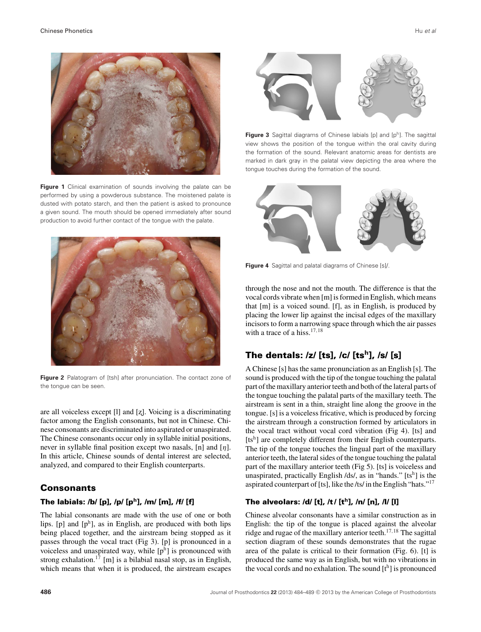

Figure 1 Clinical examination of sounds involving the palate can be performed by using a powderous substance. The moistened palate is dusted with potato starch, and then the patient is asked to pronounce a given sound. The mouth should be opened immediately after sound production to avoid further contact of the tongue with the palate.



**Figure 2** Palatogram of [tsh] after pronunciation. The contact zone of the tongue can be seen.

are all voiceless except [l] and [ʐ]. Voicing is a discriminating factor among the English consonants, but not in Chinese. Chinese consonants are discriminated into aspirated or unaspirated. The Chinese consonants occur only in syllable initial positions, never in syllable final position except two nasals, [n] and  $[\eta]$ . In this article, Chinese sounds of dental interest are selected, analyzed, and compared to their English counterparts.

## **Consonants**

#### **The labials: /b/ [p], /p/ [ph], /m/ [m], /f/ [f]**

The labial consonants are made with the use of one or both lips.  $[p]$  and  $[p^h]$ , as in English, are produced with both lips being placed together, and the airstream being stopped as it passes through the vocal tract (Fig 3). [p] is pronounced in a voiceless and unaspirated way, while  $[p^{\overline{h}}]$  is pronounced with strong exhalation.<sup>17</sup> [m] is a bilabial nasal stop, as in English, which means that when it is produced, the airstream escapes



**Figure 3** Sagittal diagrams of Chinese labials [p] and [ph]. The sagittal view shows the position of the tongue within the oral cavity during the formation of the sound. Relevant anatomic areas for dentists are marked in dark gray in the palatal view depicting the area where the tongue touches during the formation of the sound.



**Figure 4** Sagittal and palatal diagrams of Chinese [s]/.

through the nose and not the mouth. The difference is that the vocal cords vibrate when [m] is formed in English, which means that [m] is a voiced sound. [f], as in English, is produced by placing the lower lip against the incisal edges of the maxillary incisors to form a narrowing space through which the air passes with a trace of a hiss.<sup>17,18</sup>

# **The dentals: /z/ [ts], /c/ [tsh], /s/ [s]**

A Chinese [s] has the same pronunciation as an English [s]. The sound is produced with the tip of the tongue touching the palatal part of the maxillary anterior teeth and both of the lateral parts of the tongue touching the palatal parts of the maxillary teeth. The airstream is sent in a thin, straight line along the groove in the tongue. [s] is a voiceless fricative, which is produced by forcing the airstream through a construction formed by articulators in the vocal tract without vocal cord vibration (Fig 4). [ts] and  $[ts<sup>h</sup>]$  are completely different from their English counterparts. The tip of the tongue touches the lingual part of the maxillary anterior teeth, the lateral sides of the tongue touching the palatal part of the maxillary anterior teeth (Fig 5). [ts] is voiceless and unaspirated, practically English /ds/, as in "hands."  $[ts<sup>h</sup>]$  is the aspirated counterpart of [ts], like the /ts/ in the English "hats."17

#### **The alveolars: /d/ [t], /t / [th], /n/ [n], /l/ [l]**

Chinese alveolar consonants have a similar construction as in English: the tip of the tongue is placed against the alveolar ridge and rugae of the maxillary anterior teeth.<sup>17,18</sup> The sagittal section diagram of these sounds demonstrates that the rugae area of the palate is critical to their formation (Fig. 6). [t] is produced the same way as in English, but with no vibrations in the vocal cords and no exhalation. The sound  $[t<sup>h</sup>]$  is pronounced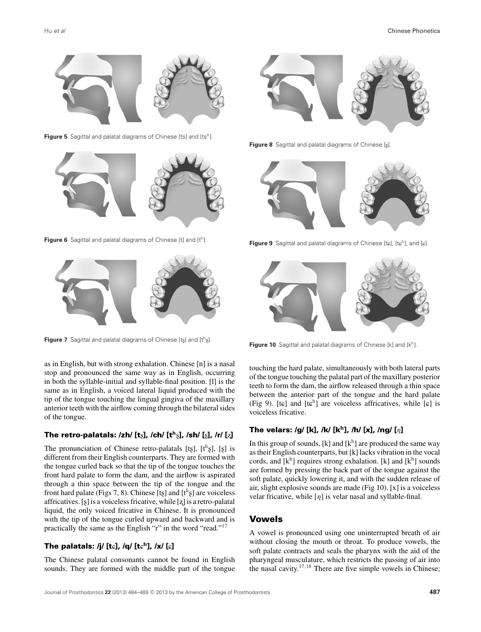

**Figure 5** Sagittal and palatal diagrams of Chinese [ts] and [tsh].



**Figure 6** Sagittal and palatal diagrams of Chinese [t] and [th].



**Figure 7** Sagittal and palatal diagrams of Chinese [ts] and [th s].

as in English, but with strong exhalation. Chinese [n] is a nasal stop and pronounced the same way as in English, occurring in both the syllable-initial and syllable-final position. [l] is the same as in English, a voiced lateral liquid produced with the tip of the tongue touching the lingual gingiva of the maxillary anterior teeth with the airflow coming through the bilateral sides of the tongue.

#### **The retro-palatals: /zh/ [t**ʂ**], /ch/ [th**ʂ**], /sh/ [**ʂ**], /r/ [**ʐ**]**

The pronunciation of Chinese retro-palatals [tʂ],  $[t<sup>h</sup>$ <sup>g</sup>], [ʂ] is different from their English counterparts. They are formed with the tongue curled back so that the tip of the tongue touches the front hard palate to form the dam, and the airflow is aspirated through a thin space between the tip of the tongue and the front hard palate (Figs 7, 8). Chinese [ts] and  $[t<sup>h</sup>s]$  are voiceless affricatives. [ʂ] is a voiceless fricative, while [ʐ] is a retro-palatal liquid, the only voiced fricative in Chinese. It is pronounced with the tip of the tongue curled upward and backward and is practically the same as the English "r" in the word "read."17

## **The palatals: /j/ [t**ɕ**], /q/ [t**ɕ**h], /x/ [**ɕ**]**

The Chinese palatal consonants cannot be found in English sounds. They are formed with the middle part of the tongue



**Figure 8** Sagittal and palatal diagrams of Chinese [ʂ].



Figure 9 Sagittal and palatal diagrams of Chinese [te], [teh], and [e].



**Figure 10** Sagittal and palatal diagrams of Chinese [k] and [k<sup>h</sup>].

touching the hard palate, simultaneously with both lateral parts of the tongue touching the palatal part of the maxillary posterior teeth to form the dam, the airflow released through a thin space between the anterior part of the tongue and the hard palate (Fig 9). [tc] and  $[te<sup>h</sup>]$  are voiceless affricatives, while  $[e]$  is voiceless fricative.

#### **The velars: /g/ [k], /k/ [kh], /h/ [x], /ng/ [**η**]**

In this group of sounds,  $[k]$  and  $[k^h]$  are produced the same way as their English counterparts, but [k] lacks vibration in the vocal cords, and  $[k^h]$  requires strong exhalation.  $[k]$  and  $[k^h]$  sounds are formed by pressing the back part of the tongue against the soft palate, quickly lowering it, and with the sudden release of air, slight explosive sounds are made (Fig 10). [x] is a voiceless velar fricative, while  $[\eta]$  is velar nasal and syllable-final.

### **Vowels**

A vowel is pronounced using one uninterrupted breath of air without closing the mouth or throat. To produce vowels, the soft palate contracts and seals the pharynx with the aid of the pharyngeal musculature, which restricts the passing of air into the nasal cavity. $17,18$  There are five simple vowels in Chinese;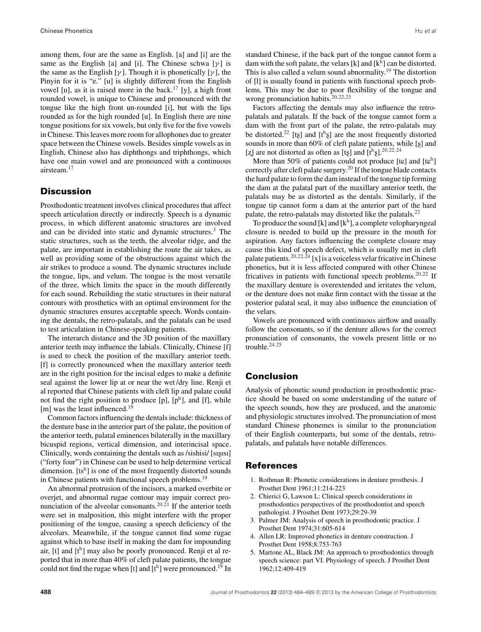among them, four are the same as English. [a] and [i] are the same as the English [a] and [i]. The Chinese schwa  $[\gamma]$  is the same as the English [ $\gamma$ ]. Though it is phonetically [ $\gamma$ ], the Pinyin for it is "e." [u] is slightly different from the English vowel [u], as it is raised more in the back.<sup>17</sup> [y], a high front rounded vowel, is unique to Chinese and pronounced with the tongue like the high front un-rounded [i], but with the lips rounded as for the high rounded [u]. In English there are nine tongue positions for six vowels, but only five for the five vowels in Chinese. This leaves more room for allophones due to greater space between the Chinese vowels. Besides simple vowels as in English, Chinese also has diphthongs and triphthongs, which have one main vowel and are pronounced with a continuous airsteam.<sup>17</sup>

### **Discussion**

Prosthodontic treatment involves clinical procedures that affect speech articulation directly or indirectly. Speech is a dynamic process, in which different anatomic structures are involved and can be divided into static and dynamic structures.<sup>3</sup> The static structures, such as the teeth, the alveolar ridge, and the palate, are important in establishing the route the air takes, as well as providing some of the obstructions against which the air strikes to produce a sound. The dynamic structures include the tongue, lips, and velum. The tongue is the most versatile of the three, which limits the space in the mouth differently for each sound. Rebuilding the static structures in their natural contours with prosthetics with an optimal environment for the dynamic structures ensures acceptable speech. Words containing the dentals, the retro-palatals, and the palatals can be used to test articulation in Chinese-speaking patients.

The interarch distance and the 3D position of the maxillary anterior teeth may influence the labials. Clinically, Chinese [f] is used to check the position of the maxillary anterior teeth. [f] is correctly pronounced when the maxillary anterior teeth are in the right position for the incisal edges to make a definite seal against the lower lip at or near the wet /dry line. Renji et al reported that Chinese patients with cleft lip and palate could not find the right position to produce  $[p]$ ,  $[p^h]$ , and  $[f]$ , while [m] was the least influenced.<sup>19</sup>

Common factors influencing the dentals include: thickness of the denture base in the anterior part of the palate, the position of the anterior teeth, palatal eminences bilaterally in the maxillary bicuspid regions, vertical dimension, and interincisal space. Clinically, words containing the dentals such as /sishisi/ [sıʂısı] ("forty four") in Chinese can be used to help determine vertical dimension.  $[ts<sup>h</sup>]$  is one of the most frequently distorted sounds in Chinese patients with functional speech problems.<sup>19</sup>

An abnormal protrusion of the incisors, a marked overbite or overjet, and abnormal rugae contour may impair correct pronunciation of the alveolar consonants.<sup>20,21</sup> If the anterior teeth were set in malposition, this might interfere with the proper positioning of the tongue, causing a speech deficiency of the alveolars. Meanwhile, if the tongue cannot find some rugae against which to base itself in making the dam for impounding air, [t] and  $[t<sup>h</sup>]$  may also be poorly pronounced. Renji et al reported that in more than 40% of cleft palate patients, the tongue could not find the rugae when [t] and  $[t^h]$  were pronounced.<sup>19</sup> In standard Chinese, if the back part of the tongue cannot form a dam with the soft palate, the velars [k] and  $[k^h]$  can be distorted. This is also called a velum sound abnormality.<sup>19</sup> The distortion of [l] is usually found in patients with functional speech problems. This may be due to poor flexibility of the tongue and wrong pronunciation habits.<sup>20,22,23</sup>

Factors affecting the dentals may also influence the retropalatals and palatals. If the back of the tongue cannot form a dam with the front part of the palate, the retro-palatals may be distorted.<sup>22</sup> [ts] and  $[t<sup>h</sup>s]$  are the most frequently distorted sounds in more than 60% of cleft palate patients, while [ʂ] and [z] are not distorted as often as [tʂ] and  $[t<sup>h</sup>$ s].<sup>20,22,24</sup>

More than 50% of patients could not produce  $[te]$  and  $[te<sup>h</sup>]$ correctly after cleft palate surgery.<sup>20</sup> If the tongue blade contacts the hard palate to form the dam instead of the tongue tip forming the dam at the palatal part of the maxillary anterior teeth, the palatals may be as distorted as the dentals. Similarly, if the tongue tip cannot form a dam at the anterior part of the hard palate, the retro-palatals may distorted like the palatals.<sup>22</sup>

To produce the sound [k] and  $[k^h]$ , a complete velopharyngeal closure is needed to build up the pressure in the mouth for aspiration. Any factors influencing the complete closure may cause this kind of speech defect, which is usually met in cleft palate patients.<sup>20,22,24</sup> [x] is a voiceless velar fricative in Chinese phonetics, but it is less affected compared with other Chinese fricatives in patients with functional speech problems.<sup>20,22</sup> If the maxillary denture is overextended and irritates the velum, or the denture does not make firm contact with the tissue at the posterior palatal seal, it may also influence the enunciation of the velars.

Vowels are pronounced with continuous airflow and usually follow the consonants, so if the denture allows for the correct pronunciation of consonants, the vowels present little or no trouble. $24,25$ 

#### **Conclusion**

Analysis of phonetic sound production in prosthodontic practice should be based on some understanding of the nature of the speech sounds, how they are produced, and the anatomic and physiologic structures involved. The pronunciation of most standard Chinese phonemes is similar to the pronunciation of their English counterparts, but some of the dentals, retropalatals, and palatals have notable differences.

#### **References**

- 1. Rothman R: Phonetic considerations in denture prosthesis. J Prosthet Dent 1961;11:214-223
- 2. Chierici G, Lawson L: Clinical speech considerations in prosthodontics perspectives of the prosthodontist and speech pathologist. J Prosthet Dent 1973;29:29-39
- 3. Palmer JM: Analysis of speech in prosthodontic practice. J Prosthet Dent 1974;31:605-614
- 4. Allen LR: Improved phonetics in denture construction. J Prosthet Dent 1958;8:753-763
- 5. Martone AL, Black JM: An approach to prosthodontics through speech science: part VI. Physiology of speech. J Prosthet Dent 1962;12:409-419